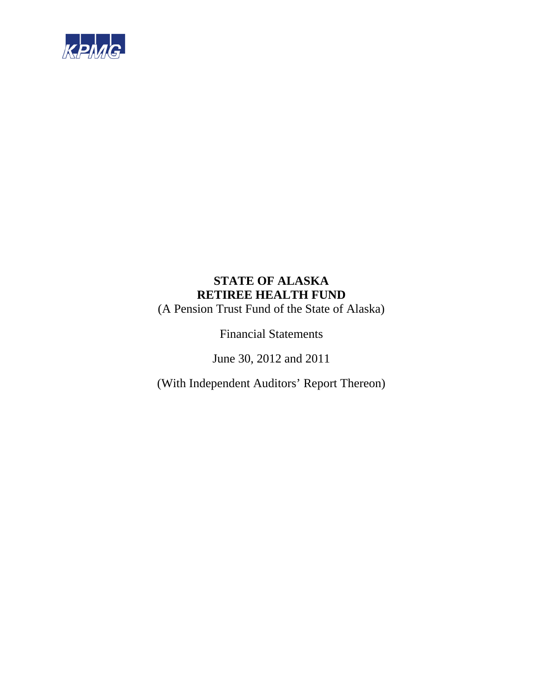

(A Pension Trust Fund of the State of Alaska)

Financial Statements

June 30, 2012 and 2011

(With Independent Auditors' Report Thereon)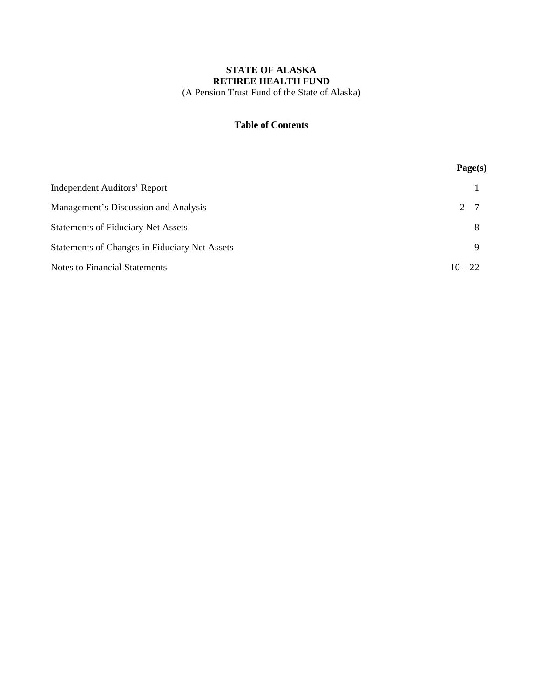## **STATE OF ALASKA RETIREE HEALTH FUND**  (A Pension Trust Fund of the State of Alaska)

#### **Table of Contents**

|                                               | Page(s)   |
|-----------------------------------------------|-----------|
| <b>Independent Auditors' Report</b>           |           |
| Management's Discussion and Analysis          | $2 - 7$   |
| <b>Statements of Fiduciary Net Assets</b>     | 8         |
| Statements of Changes in Fiduciary Net Assets | 9         |
| <b>Notes to Financial Statements</b>          | $10 - 22$ |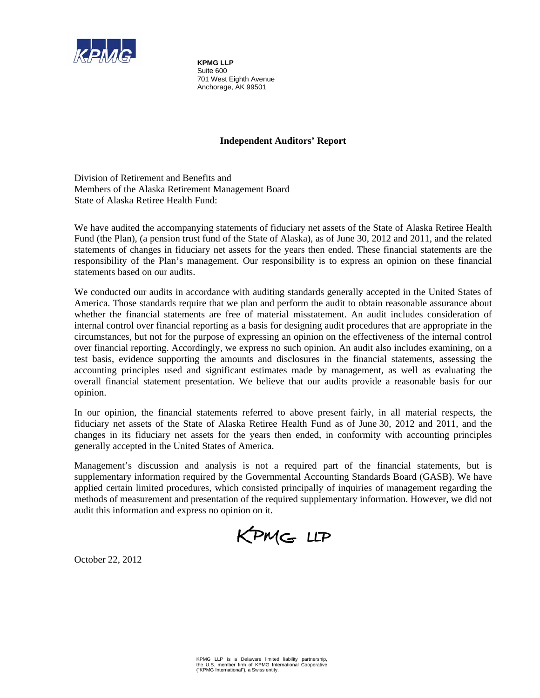

**KPMG LLP**  Suite 600 701 West Eighth Avenue Anchorage, AK 99501

## **Independent Auditors' Report**

Division of Retirement and Benefits and Members of the Alaska Retirement Management Board State of Alaska Retiree Health Fund:

We have audited the accompanying statements of fiduciary net assets of the State of Alaska Retiree Health Fund (the Plan), (a pension trust fund of the State of Alaska), as of June 30, 2012 and 2011, and the related statements of changes in fiduciary net assets for the years then ended. These financial statements are the responsibility of the Plan's management. Our responsibility is to express an opinion on these financial statements based on our audits.

We conducted our audits in accordance with auditing standards generally accepted in the United States of America. Those standards require that we plan and perform the audit to obtain reasonable assurance about whether the financial statements are free of material misstatement. An audit includes consideration of internal control over financial reporting as a basis for designing audit procedures that are appropriate in the circumstances, but not for the purpose of expressing an opinion on the effectiveness of the internal control over financial reporting. Accordingly, we express no such opinion. An audit also includes examining, on a test basis, evidence supporting the amounts and disclosures in the financial statements, assessing the accounting principles used and significant estimates made by management, as well as evaluating the overall financial statement presentation. We believe that our audits provide a reasonable basis for our opinion.

In our opinion, the financial statements referred to above present fairly, in all material respects, the fiduciary net assets of the State of Alaska Retiree Health Fund as of June 30, 2012 and 2011, and the changes in its fiduciary net assets for the years then ended, in conformity with accounting principles generally accepted in the United States of America.

Management's discussion and analysis is not a required part of the financial statements, but is supplementary information required by the Governmental Accounting Standards Board (GASB). We have applied certain limited procedures, which consisted principally of inquiries of management regarding the methods of measurement and presentation of the required supplementary information. However, we did not audit this information and express no opinion on it.

KPMG LLP

October 22, 2012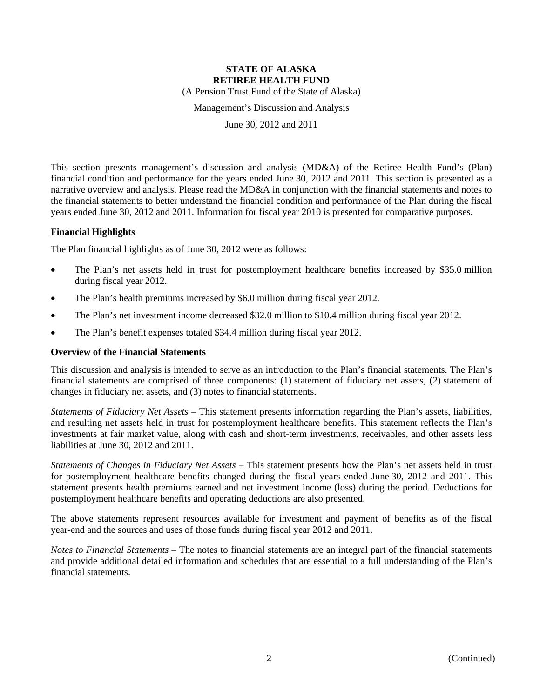(A Pension Trust Fund of the State of Alaska)

Management's Discussion and Analysis

June 30, 2012 and 2011

This section presents management's discussion and analysis (MD&A) of the Retiree Health Fund's (Plan) financial condition and performance for the years ended June 30, 2012 and 2011. This section is presented as a narrative overview and analysis. Please read the MD&A in conjunction with the financial statements and notes to the financial statements to better understand the financial condition and performance of the Plan during the fiscal years ended June 30, 2012 and 2011. Information for fiscal year 2010 is presented for comparative purposes.

#### **Financial Highlights**

The Plan financial highlights as of June 30, 2012 were as follows:

- The Plan's net assets held in trust for postemployment healthcare benefits increased by \$35.0 million during fiscal year 2012.
- The Plan's health premiums increased by \$6.0 million during fiscal year 2012.
- The Plan's net investment income decreased \$32.0 million to \$10.4 million during fiscal year 2012.
- The Plan's benefit expenses totaled \$34.4 million during fiscal year 2012.

#### **Overview of the Financial Statements**

This discussion and analysis is intended to serve as an introduction to the Plan's financial statements. The Plan's financial statements are comprised of three components: (1) statement of fiduciary net assets, (2) statement of changes in fiduciary net assets, and (3) notes to financial statements.

*Statements of Fiduciary Net Assets* – This statement presents information regarding the Plan's assets, liabilities, and resulting net assets held in trust for postemployment healthcare benefits. This statement reflects the Plan's investments at fair market value, along with cash and short-term investments, receivables, and other assets less liabilities at June 30, 2012 and 2011.

*Statements of Changes in Fiduciary Net Assets* – This statement presents how the Plan's net assets held in trust for postemployment healthcare benefits changed during the fiscal years ended June 30, 2012 and 2011. This statement presents health premiums earned and net investment income (loss) during the period. Deductions for postemployment healthcare benefits and operating deductions are also presented.

The above statements represent resources available for investment and payment of benefits as of the fiscal year-end and the sources and uses of those funds during fiscal year 2012 and 2011.

*Notes to Financial Statements* – The notes to financial statements are an integral part of the financial statements and provide additional detailed information and schedules that are essential to a full understanding of the Plan's financial statements.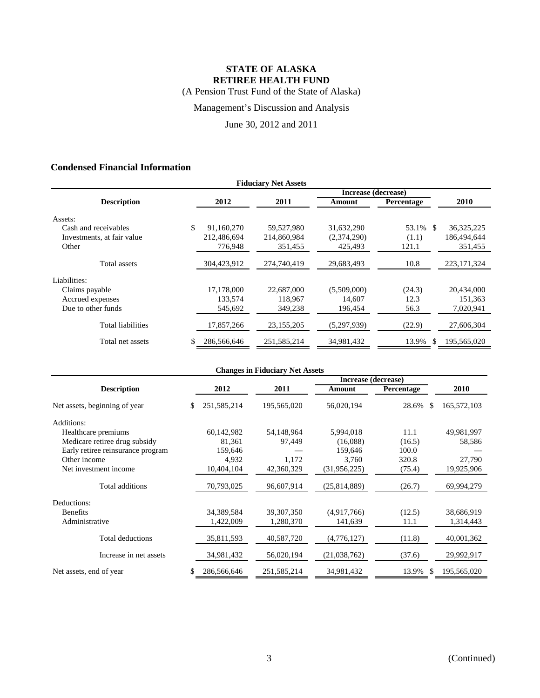(A Pension Trust Fund of the State of Alaska)

Management's Discussion and Analysis

June 30, 2012 and 2011

## **Condensed Financial Information**

| <b>Fiduciary Net Assets</b> |    |             |             |             |             |               |  |  |  |
|-----------------------------|----|-------------|-------------|-------------|-------------|---------------|--|--|--|
| Increase (decrease)         |    |             |             |             |             |               |  |  |  |
| <b>Description</b>          |    | 2012        | 2011        | Amount      | Percentage  | 2010          |  |  |  |
| Assets:                     |    |             |             |             |             |               |  |  |  |
| Cash and receivables        | \$ | 91,160,270  | 59,527,980  | 31,632,290  | 53.1%<br>-S | 36, 325, 225  |  |  |  |
| Investments, at fair value  |    | 212,486,694 | 214,860,984 | (2,374,290) | (1.1)       | 186,494,644   |  |  |  |
| Other                       |    | 776,948     | 351,455     | 425.493     | 121.1       | 351,455       |  |  |  |
| Total assets                |    | 304,423,912 | 274,740,419 | 29,683,493  | 10.8        | 223, 171, 324 |  |  |  |
| Liabilities:                |    |             |             |             |             |               |  |  |  |
| Claims payable              |    | 17,178,000  | 22,687,000  | (5,509,000) | (24.3)      | 20,434,000    |  |  |  |
| Accrued expenses            |    | 133,574     | 118,967     | 14.607      | 12.3        | 151,363       |  |  |  |
| Due to other funds          |    | 545,692     | 349,238     | 196,454     | 56.3        | 7,020,941     |  |  |  |
| Total liabilities           |    | 17,857,266  | 23,155,205  | (5,297,939) | (22.9)      | 27,606,304    |  |  |  |
| Total net assets            |    | 286,566,646 | 251.585.214 | 34.981.432  | 13.9%<br>\$ | 195,565,020   |  |  |  |

|                                   | <b>Changes in Fiduciary Net Assets</b> |        |             |              |            |                              |  |  |
|-----------------------------------|----------------------------------------|--------|-------------|--------------|------------|------------------------------|--|--|
|                                   | Increase (decrease)                    |        |             |              |            |                              |  |  |
| <b>Description</b>                | 2012                                   |        | 2011        | Amount       | Percentage | 2010                         |  |  |
| Net assets, beginning of year     | 251, 585, 214<br>\$                    |        | 195,565,020 | 56,020,194   | 28.6%      | 165,572,103<br>-S            |  |  |
| Additions:                        |                                        |        |             |              |            |                              |  |  |
| Healthcare premiums               | 60,142,982                             |        | 54,148,964  | 5,994,018    | 11.1       | 49,981,997                   |  |  |
| Medicare retiree drug subsidy     |                                        | 81,361 | 97,449      | (16,088)     | (16.5)     | 58,586                       |  |  |
| Early retiree reinsurance program | 159,646                                |        |             | 159,646      | 100.0      |                              |  |  |
| Other income                      |                                        | 4,932  | 1,172       | 3,760        | 320.8      | 27,790                       |  |  |
| Net investment income             | 10,404,104                             |        | 42,360,329  | (31,956,225) | (75.4)     | 19,925,906                   |  |  |
| Total additions                   | 70,793,025                             |        | 96,607,914  | (25,814,889) | (26.7)     | 69,994,279                   |  |  |
| Deductions:                       |                                        |        |             |              |            |                              |  |  |
| <b>Benefits</b>                   | 34,389,584                             |        | 39,307,350  | (4,917,766)  | (12.5)     | 38,686,919                   |  |  |
| Administrative                    | 1,422,009                              |        | 1,280,370   | 141,639      | 11.1       | 1,314,443                    |  |  |
| Total deductions                  | 35,811,593                             |        | 40,587,720  | (4,776,127)  | (11.8)     | 40,001,362                   |  |  |
| Increase in net assets            | 34,981,432                             |        | 56,020,194  | (21,038,762) | (37.6)     | 29,992,917                   |  |  |
| Net assets, end of year           | 286,566,646<br>\$                      |        | 251,585,214 | 34,981,432   | 13.9%      | <sup>\$</sup><br>195,565,020 |  |  |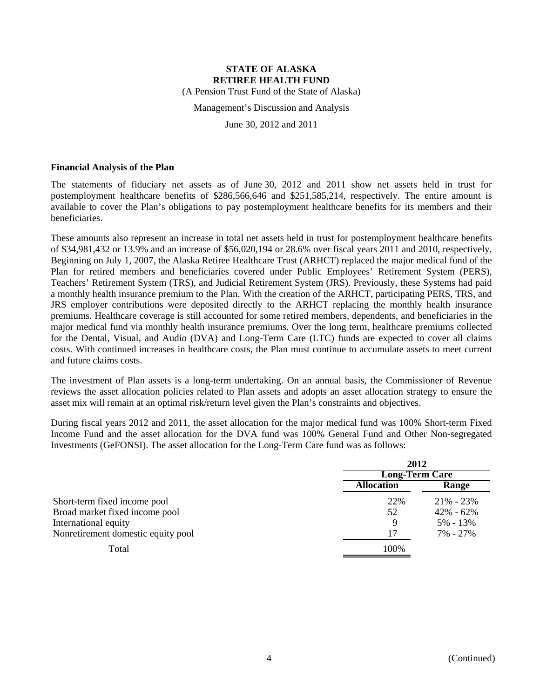(A Pension Trust Fund of the State of Alaska)

Management's Discussion and Analysis

June 30, 2012 and 2011

#### **Financial Analysis of the Plan**

The statements of fiduciary net assets as of June 30, 2012 and 2011 show net assets held in trust for postemployment healthcare benefits of \$286,566,646 and \$251,585,214, respectively. The entire amount is available to cover the Plan's obligations to pay postemployment healthcare benefits for its members and their beneficiaries.

These amounts also represent an increase in total net assets held in trust for postemployment healthcare benefits of \$34,981,432 or 13.9% and an increase of \$56,020,194 or 28.6% over fiscal years 2011 and 2010, respectively. Beginning on July 1, 2007, the Alaska Retiree Healthcare Trust (ARHCT) replaced the major medical fund of the Plan for retired members and beneficiaries covered under Public Employees' Retirement System (PERS), Teachers' Retirement System (TRS), and Judicial Retirement System (JRS). Previously, these Systems had paid a monthly health insurance premium to the Plan. With the creation of the ARHCT, participating PERS, TRS, and JRS employer contributions were deposited directly to the ARHCT replacing the monthly health insurance premiums. Healthcare coverage is still accounted for some retired members, dependents, and beneficiaries in the major medical fund via monthly health insurance premiums. Over the long term, healthcare premiums collected for the Dental, Visual, and Audio (DVA) and Long-Term Care (LTC) funds are expected to cover all claims costs. With continued increases in healthcare costs, the Plan must continue to accumulate assets to meet current and future claims costs.

The investment of Plan assets is a long-term undertaking. On an annual basis, the Commissioner of Revenue reviews the asset allocation policies related to Plan assets and adopts an asset allocation strategy to ensure the asset mix will remain at an optimal risk/return level given the Plan's constraints and objectives.

During fiscal years 2012 and 2011, the asset allocation for the major medical fund was 100% Short-term Fixed Income Fund and the asset allocation for the DVA fund was 100% General Fund and Other Non-segregated Investments (GeFONSI). The asset allocation for the Long-Term Care fund was as follows:

|                                    | 2012<br><b>Long-Term Care</b> |               |  |
|------------------------------------|-------------------------------|---------------|--|
|                                    |                               |               |  |
|                                    | <b>Allocation</b>             | Range         |  |
| Short-term fixed income pool       | 22%                           | $21\% - 23\%$ |  |
| Broad market fixed income pool     | 52                            | $42\% - 62\%$ |  |
| International equity               | 9                             | 5% - 13%      |  |
| Nonretirement domestic equity pool | 17                            | 7% - 27%      |  |
| Total                              | 100%                          |               |  |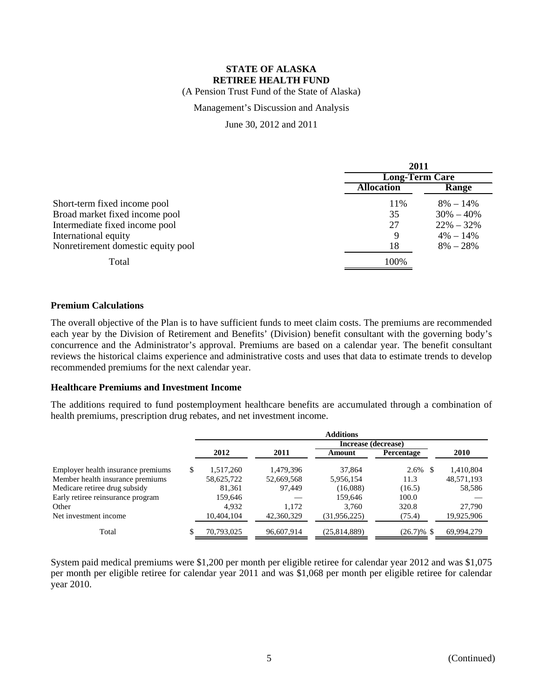(A Pension Trust Fund of the State of Alaska)

## Management's Discussion and Analysis

June 30, 2012 and 2011

|                                    | 2011                  |               |  |
|------------------------------------|-----------------------|---------------|--|
|                                    | <b>Long-Term Care</b> |               |  |
|                                    | <b>Allocation</b>     | Range         |  |
| Short-term fixed income pool       | 11%                   | $8\% - 14\%$  |  |
| Broad market fixed income pool     | 35                    | $30\% - 40\%$ |  |
| Intermediate fixed income pool     | 27                    | $22\% - 32\%$ |  |
| International equity               | 9                     | $4\% - 14\%$  |  |
| Nonretirement domestic equity pool | 18                    | $8\% - 28\%$  |  |
| Total                              | 100%                  |               |  |

#### **Premium Calculations**

The overall objective of the Plan is to have sufficient funds to meet claim costs. The premiums are recommended each year by the Division of Retirement and Benefits' (Division) benefit consultant with the governing body's concurrence and the Administrator's approval. Premiums are based on a calendar year. The benefit consultant reviews the historical claims experience and administrative costs and uses that data to estimate trends to develop recommended premiums for the next calendar year.

#### **Healthcare Premiums and Investment Income**

The additions required to fund postemployment healthcare benefits are accumulated through a combination of health premiums, prescription drug rebates, and net investment income.

|                                    |     | <b>Additions</b> |            |                     |               |            |  |
|------------------------------------|-----|------------------|------------|---------------------|---------------|------------|--|
|                                    |     |                  |            | Increase (decrease) |               |            |  |
|                                    |     | 2012             | 2011       | Amount              | Percentage    | 2010       |  |
| Employer health insurance premiums | \$. | 1,517,260        | 1,479,396  | 37,864              | 2.6%          | 1,410,804  |  |
| Member health insurance premiums   |     | 58,625,722       | 52,669,568 | 5,956,154           | 11.3          | 48,571,193 |  |
| Medicare retiree drug subsidy      |     | 81.361           | 97.449     | (16,088)            | (16.5)        | 58,586     |  |
| Early retiree reinsurance program  |     | 159,646          |            | 159.646             | 100.0         |            |  |
| Other                              |     | 4.932            | 1.172      | 3.760               | 320.8         | 27,790     |  |
| Net investment income              |     | 10,404,104       | 42,360,329 | (31, 956, 225)      | (75.4)        | 19,925,906 |  |
| Total                              |     | 70,793,025       | 96,607,914 | (25,814,889)        | $(26.7)\%$ \$ | 69,994,279 |  |

System paid medical premiums were \$1,200 per month per eligible retiree for calendar year 2012 and was \$1,075 per month per eligible retiree for calendar year 2011 and was \$1,068 per month per eligible retiree for calendar year 2010.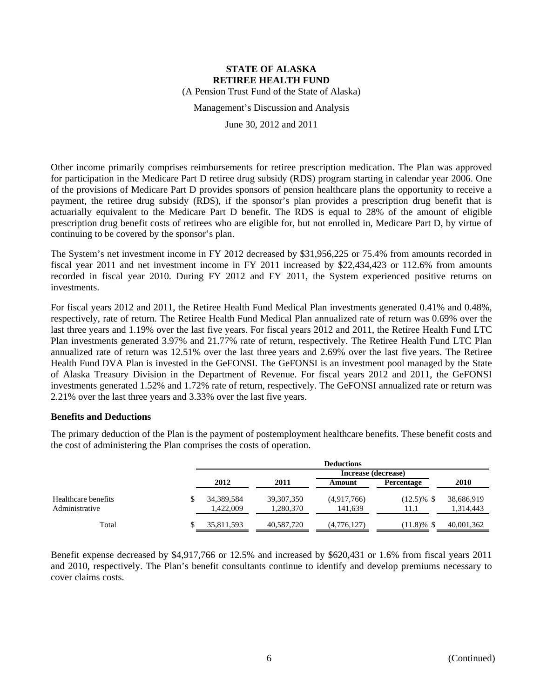(A Pension Trust Fund of the State of Alaska)

Management's Discussion and Analysis

June 30, 2012 and 2011

Other income primarily comprises reimbursements for retiree prescription medication. The Plan was approved for participation in the Medicare Part D retiree drug subsidy (RDS) program starting in calendar year 2006. One of the provisions of Medicare Part D provides sponsors of pension healthcare plans the opportunity to receive a payment, the retiree drug subsidy (RDS), if the sponsor's plan provides a prescription drug benefit that is actuarially equivalent to the Medicare Part D benefit. The RDS is equal to 28% of the amount of eligible prescription drug benefit costs of retirees who are eligible for, but not enrolled in, Medicare Part D, by virtue of continuing to be covered by the sponsor's plan.

The System's net investment income in FY 2012 decreased by \$31,956,225 or 75.4% from amounts recorded in fiscal year 2011 and net investment income in FY 2011 increased by \$22,434,423 or 112.6% from amounts recorded in fiscal year 2010. During FY 2012 and FY 2011, the System experienced positive returns on investments.

For fiscal years 2012 and 2011, the Retiree Health Fund Medical Plan investments generated 0.41% and 0.48%, respectively, rate of return. The Retiree Health Fund Medical Plan annualized rate of return was 0.69% over the last three years and 1.19% over the last five years. For fiscal years 2012 and 2011, the Retiree Health Fund LTC Plan investments generated 3.97% and 21.77% rate of return, respectively. The Retiree Health Fund LTC Plan annualized rate of return was 12.51% over the last three years and 2.69% over the last five years. The Retiree Health Fund DVA Plan is invested in the GeFONSI. The GeFONSI is an investment pool managed by the State of Alaska Treasury Division in the Department of Revenue. For fiscal years 2012 and 2011, the GeFONSI investments generated 1.52% and 1.72% rate of return, respectively. The GeFONSI annualized rate or return was 2.21% over the last three years and 3.33% over the last five years.

#### **Benefits and Deductions**

The primary deduction of the Plan is the payment of postemployment healthcare benefits. These benefit costs and the cost of administering the Plan comprises the costs of operation.

|                                       | <b>Deductions</b>       |                           |                        |                       |                         |  |  |
|---------------------------------------|-------------------------|---------------------------|------------------------|-----------------------|-------------------------|--|--|
|                                       |                         |                           | Increase (decrease)    |                       |                         |  |  |
|                                       | 2012                    | 2011                      | Amount                 | Percentage            | 2010                    |  |  |
| Healthcare benefits<br>Administrative | 34,389,584<br>1,422,009 | 39, 307, 350<br>1,280,370 | (4,917,766)<br>141,639 | $(12.5)\%$ \$<br>11.1 | 38,686,919<br>1,314,443 |  |  |
| Total                                 | 35,811,593              | 40,587,720                | (4,776,127)            | $(11.8)\%$ \$         | 40,001,362              |  |  |

Benefit expense decreased by \$4,917,766 or 12.5% and increased by \$620,431 or 1.6% from fiscal years 2011 and 2010, respectively. The Plan's benefit consultants continue to identify and develop premiums necessary to cover claims costs.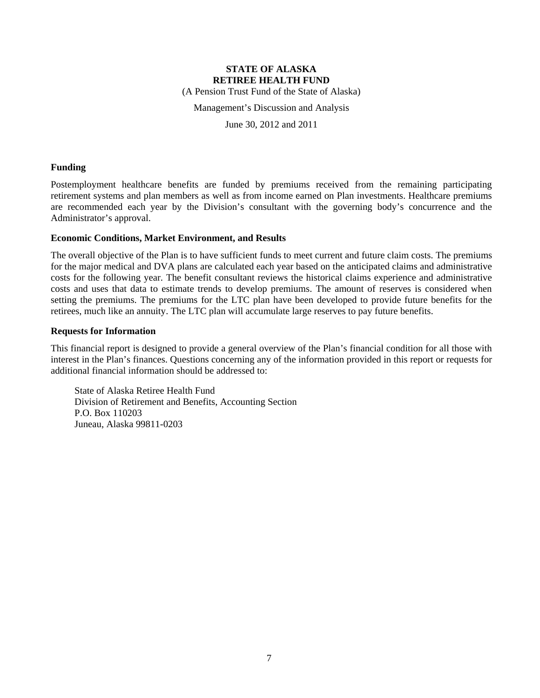(A Pension Trust Fund of the State of Alaska)

Management's Discussion and Analysis

June 30, 2012 and 2011

#### **Funding**

Postemployment healthcare benefits are funded by premiums received from the remaining participating retirement systems and plan members as well as from income earned on Plan investments. Healthcare premiums are recommended each year by the Division's consultant with the governing body's concurrence and the Administrator's approval.

#### **Economic Conditions, Market Environment, and Results**

The overall objective of the Plan is to have sufficient funds to meet current and future claim costs. The premiums for the major medical and DVA plans are calculated each year based on the anticipated claims and administrative costs for the following year. The benefit consultant reviews the historical claims experience and administrative costs and uses that data to estimate trends to develop premiums. The amount of reserves is considered when setting the premiums. The premiums for the LTC plan have been developed to provide future benefits for the retirees, much like an annuity. The LTC plan will accumulate large reserves to pay future benefits.

#### **Requests for Information**

This financial report is designed to provide a general overview of the Plan's financial condition for all those with interest in the Plan's finances. Questions concerning any of the information provided in this report or requests for additional financial information should be addressed to:

State of Alaska Retiree Health Fund Division of Retirement and Benefits, Accounting Section P.O. Box 110203 Juneau, Alaska 99811-0203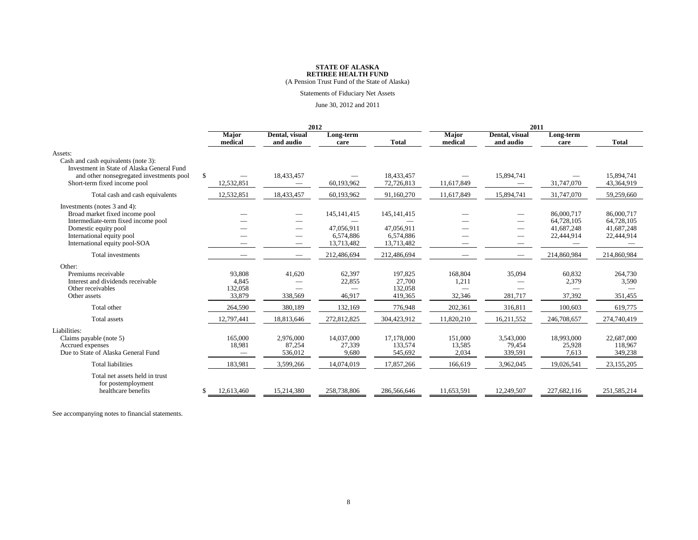(A Pension Trust Fund of the State of Alaska)

#### Statements of Fiduciary Net Assets

#### June 30, 2012 and 2011

|                                                                                                                                                                                             |    | 2012                                 |                                    |                                                        |                                                        | 2011                       |                                |                                                      |                                                      |
|---------------------------------------------------------------------------------------------------------------------------------------------------------------------------------------------|----|--------------------------------------|------------------------------------|--------------------------------------------------------|--------------------------------------------------------|----------------------------|--------------------------------|------------------------------------------------------|------------------------------------------------------|
|                                                                                                                                                                                             |    | <b>Major</b><br>medical              | Dental, visual<br>and audio        | Long-term<br>care                                      | <b>Total</b>                                           | <b>Major</b><br>medical    | Dental, visual<br>and audio    | Long-term<br>care                                    | <b>Total</b>                                         |
| Assets:<br>Cash and cash equivalents (note 3):<br>Investment in State of Alaska General Fund<br>and other nonsegregated investments pool                                                    | S  |                                      | 18,433,457                         |                                                        | 18,433,457                                             |                            | 15,894,741                     |                                                      | 15.894.741                                           |
| Short-term fixed income pool                                                                                                                                                                |    | 12,532,851                           |                                    | 60,193,962                                             | 72,726,813                                             | 11,617,849                 |                                | 31,747,070                                           | 43,364,919                                           |
| Total cash and cash equivalents                                                                                                                                                             |    | 12,532,851                           | 18,433,457                         | 60,193,962                                             | 91,160,270                                             | 11,617,849                 | 15,894,741                     | 31,747,070                                           | 59,259,660                                           |
| Investments (notes 3 and 4):<br>Broad market fixed income pool<br>Intermediate-term fixed income pool<br>Domestic equity pool<br>International equity pool<br>International equity pool-SOA |    |                                      | $\overline{\phantom{0}}$<br>$\sim$ | 145, 141, 415<br>47.056.911<br>6,574,886<br>13,713,482 | 145, 141, 415<br>47.056.911<br>6,574,886<br>13,713,482 |                            | $\sim$                         | 86,000,717<br>64.728.105<br>41.687.248<br>22,444,914 | 86,000,717<br>64,728,105<br>41,687,248<br>22,444,914 |
| Total investments                                                                                                                                                                           |    |                                      |                                    | 212,486,694                                            | 212,486,694                                            |                            |                                | 214,860,984                                          | 214,860,984                                          |
| Other:<br>Premiums receivable<br>Interest and dividends receivable<br>Other receivables<br>Other assets                                                                                     |    | 93,808<br>4.845<br>132,058<br>33,879 | 41,620<br>338,569                  | 62,397<br>22,855<br>46.917                             | 197,825<br>27,700<br>132,058<br>419,365                | 168,804<br>1,211<br>32,346 | 35,094<br>281.717              | 60,832<br>2,379<br>37,392                            | 264,730<br>3,590<br>351,455                          |
| Total other                                                                                                                                                                                 |    | 264,590                              | 380,189                            | 132,169                                                | 776,948                                                | 202,361                    | 316,811                        | 100,603                                              | 619,775                                              |
| Total assets                                                                                                                                                                                |    | 12,797,441                           | 18,813,646                         | 272,812,825                                            | 304,423,912                                            | 11,820,210                 | 16,211,552                     | 246,708,657                                          | 274,740,419                                          |
| Liabilities:<br>Claims payable (note 5)<br>Accrued expenses<br>Due to State of Alaska General Fund                                                                                          |    | 165,000<br>18,981<br>$\qquad \qquad$ | 2,976,000<br>87.254<br>536,012     | 14,037,000<br>27,339<br>9,680                          | 17,178,000<br>133,574<br>545,692                       | 151,000<br>13,585<br>2,034 | 3,543,000<br>79,454<br>339,591 | 18,993,000<br>25,928<br>7,613                        | 22,687,000<br>118.967<br>349,238                     |
| <b>Total liabilities</b>                                                                                                                                                                    |    | 183,981                              | 3,599,266                          | 14,074,019                                             | 17,857,266                                             | 166,619                    | 3,962,045                      | 19,026,541                                           | 23,155,205                                           |
| Total net assets held in trust<br>for postemployment<br>healthcare benefits                                                                                                                 | \$ | 12,613,460                           | 15.214.380                         | 258,738,806                                            | 286,566,646                                            | 11,653,591                 | 12,249,507                     | 227.682.116                                          | 251.585.214                                          |

See accompanying notes to financial statements.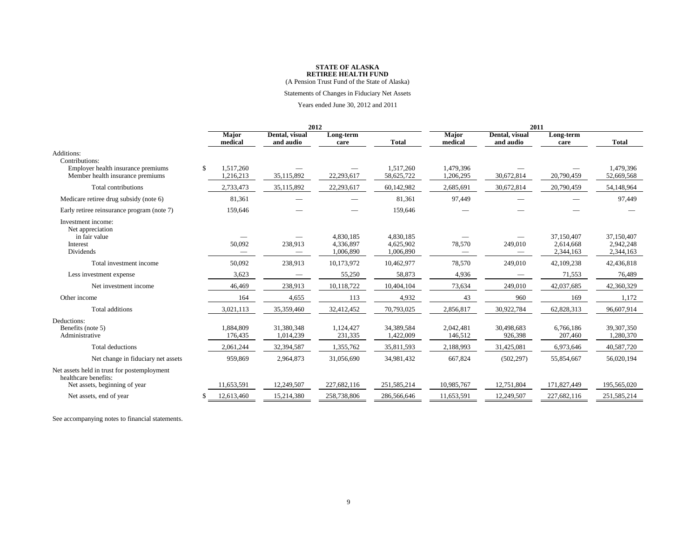(A Pension Trust Fund of the State of Alaska)

#### Statements of Changes in Fiduciary Net Assets

#### Years ended June 30, 2012 and 2011

|                                                                        |   | 2012                    |                             |                                     |                                     | 2011                    |                             |                                      |                                      |
|------------------------------------------------------------------------|---|-------------------------|-----------------------------|-------------------------------------|-------------------------------------|-------------------------|-----------------------------|--------------------------------------|--------------------------------------|
|                                                                        |   | <b>Major</b><br>medical | Dental, visual<br>and audio | Long-term<br>care                   | <b>Total</b>                        | <b>Major</b><br>medical | Dental, visual<br>and audio | Long-term<br>care                    | <b>Total</b>                         |
| Additions:<br>Contributions:                                           |   |                         |                             |                                     |                                     |                         |                             |                                      |                                      |
| Employer health insurance premiums<br>Member health insurance premiums | S | 1,517,260<br>1,216,213  | 35,115,892                  | 22,293,617                          | 1.517.260<br>58,625,722             | 1.479.396<br>1,206,295  | 30,672,814                  | 20,790,459                           | 1.479.396<br>52,669,568              |
| Total contributions                                                    |   | 2,733,473               | 35,115,892                  | 22,293,617                          | 60,142,982                          | 2,685,691               | 30,672,814                  | 20,790,459                           | 54,148,964                           |
| Medicare retiree drug subsidy (note 6)                                 |   | 81,361                  |                             |                                     | 81,361                              | 97,449                  |                             |                                      | 97,449                               |
| Early retiree reinsurance program (note 7)                             |   | 159,646                 |                             |                                     | 159,646                             |                         |                             |                                      |                                      |
| Investment income:<br>Net appreciation                                 |   |                         |                             |                                     |                                     |                         |                             |                                      |                                      |
| in fair value<br>Interest<br>Dividends                                 |   | 50,092                  | 238,913                     | 4.830.185<br>4,336,897<br>1,006,890 | 4.830.185<br>4,625,902<br>1,006,890 | 78,570                  | 249,010                     | 37,150,407<br>2,614,668<br>2,344,163 | 37.150.407<br>2,942,248<br>2,344,163 |
| Total investment income                                                |   | 50,092                  | 238,913                     | 10,173,972                          | 10,462,977                          | 78,570                  | 249,010                     | 42,109,238                           | 42,436,818                           |
| Less investment expense                                                |   | 3,623                   |                             | 55,250                              | 58,873                              | 4,936                   |                             | 71,553                               | 76,489                               |
| Net investment income                                                  |   | 46,469                  | 238,913                     | 10,118,722                          | 10,404,104                          | 73,634                  | 249,010                     | 42,037,685                           | 42,360,329                           |
| Other income                                                           |   | 164                     | 4,655                       | 113                                 | 4,932                               | 43                      | 960                         | 169                                  | 1.172                                |
| Total additions                                                        |   | 3,021,113               | 35,359,460                  | 32,412,452                          | 70,793,025                          | 2,856,817               | 30,922,784                  | 62,828,313                           | 96,607,914                           |
| Deductions:<br>Benefits (note 5)<br>Administrative                     |   | 1,884,809<br>176,435    | 31,380,348<br>1,014,239     | 1,124,427<br>231,335                | 34,389,584<br>1,422,009             | 2,042,481<br>146,512    | 30,498,683<br>926,398       | 6,766,186<br>207,460                 | 39,307,350<br>1,280,370              |
| Total deductions                                                       |   | 2,061,244               | 32,394,587                  | 1,355,762                           | 35,811,593                          | 2,188,993               | 31,425,081                  | 6,973,646                            | 40,587,720                           |
| Net change in fiduciary net assets                                     |   | 959,869                 | 2,964,873                   | 31,056,690                          | 34,981,432                          | 667,824                 | (502, 297)                  | 55,854,667                           | 56,020,194                           |
| Net assets held in trust for postemployment<br>healthcare benefits:    |   |                         |                             |                                     |                                     |                         |                             |                                      |                                      |
| Net assets, beginning of year                                          |   | 11,653,591              | 12,249,507                  | 227,682,116                         | 251,585,214                         | 10,985,767              | 12,751,804                  | 171,827,449                          | 195,565,020                          |
| Net assets, end of year                                                |   | 12,613,460              | 15,214,380                  | 258,738,806                         | 286,566,646                         | 11,653,591              | 12,249,507                  | 227,682,116                          | 251,585,214                          |

See accompanying notes to financial statements.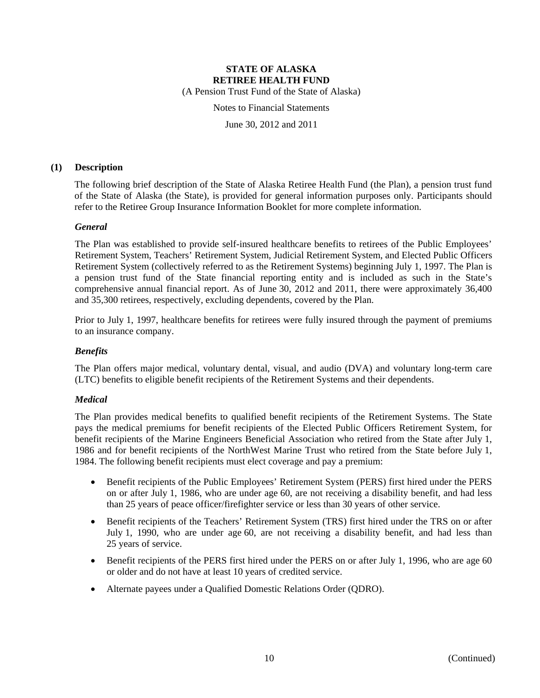(A Pension Trust Fund of the State of Alaska)

Notes to Financial Statements

June 30, 2012 and 2011

#### **(1) Description**

The following brief description of the State of Alaska Retiree Health Fund (the Plan), a pension trust fund of the State of Alaska (the State), is provided for general information purposes only. Participants should refer to the Retiree Group Insurance Information Booklet for more complete information.

#### *General*

The Plan was established to provide self-insured healthcare benefits to retirees of the Public Employees' Retirement System, Teachers' Retirement System, Judicial Retirement System, and Elected Public Officers Retirement System (collectively referred to as the Retirement Systems) beginning July 1, 1997. The Plan is a pension trust fund of the State financial reporting entity and is included as such in the State's comprehensive annual financial report. As of June 30, 2012 and 2011, there were approximately 36,400 and 35,300 retirees, respectively, excluding dependents, covered by the Plan.

Prior to July 1, 1997, healthcare benefits for retirees were fully insured through the payment of premiums to an insurance company.

#### *Benefits*

The Plan offers major medical, voluntary dental, visual, and audio (DVA) and voluntary long-term care (LTC) benefits to eligible benefit recipients of the Retirement Systems and their dependents.

### *Medical*

The Plan provides medical benefits to qualified benefit recipients of the Retirement Systems. The State pays the medical premiums for benefit recipients of the Elected Public Officers Retirement System, for benefit recipients of the Marine Engineers Beneficial Association who retired from the State after July 1, 1986 and for benefit recipients of the NorthWest Marine Trust who retired from the State before July 1, 1984. The following benefit recipients must elect coverage and pay a premium:

- Benefit recipients of the Public Employees' Retirement System (PERS) first hired under the PERS on or after July 1, 1986, who are under age 60, are not receiving a disability benefit, and had less than 25 years of peace officer/firefighter service or less than 30 years of other service.
- Benefit recipients of the Teachers' Retirement System (TRS) first hired under the TRS on or after July 1, 1990, who are under age 60, are not receiving a disability benefit, and had less than 25 years of service.
- Benefit recipients of the PERS first hired under the PERS on or after July 1, 1996, who are age 60 or older and do not have at least 10 years of credited service.
- Alternate payees under a Qualified Domestic Relations Order (QDRO).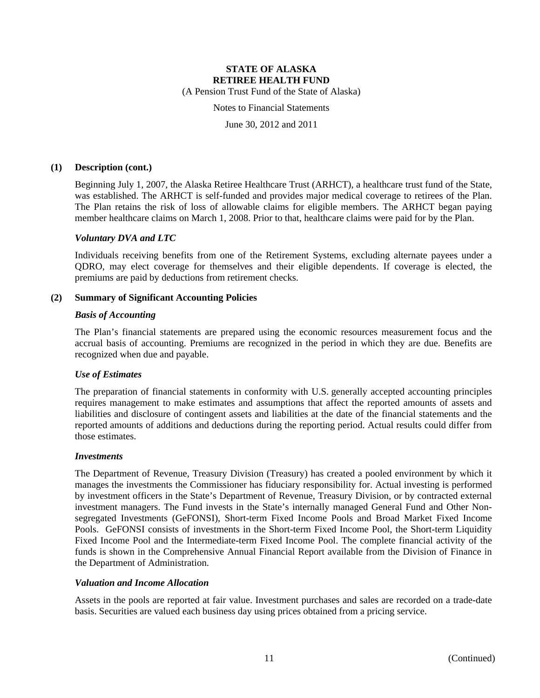(A Pension Trust Fund of the State of Alaska)

Notes to Financial Statements

June 30, 2012 and 2011

#### **(1) Description (cont.)**

Beginning July 1, 2007, the Alaska Retiree Healthcare Trust (ARHCT), a healthcare trust fund of the State, was established. The ARHCT is self-funded and provides major medical coverage to retirees of the Plan. The Plan retains the risk of loss of allowable claims for eligible members. The ARHCT began paying member healthcare claims on March 1, 2008. Prior to that, healthcare claims were paid for by the Plan.

#### *Voluntary DVA and LTC*

Individuals receiving benefits from one of the Retirement Systems, excluding alternate payees under a QDRO, may elect coverage for themselves and their eligible dependents. If coverage is elected, the premiums are paid by deductions from retirement checks.

#### **(2) Summary of Significant Accounting Policies**

#### *Basis of Accounting*

The Plan's financial statements are prepared using the economic resources measurement focus and the accrual basis of accounting. Premiums are recognized in the period in which they are due. Benefits are recognized when due and payable.

#### *Use of Estimates*

The preparation of financial statements in conformity with U.S. generally accepted accounting principles requires management to make estimates and assumptions that affect the reported amounts of assets and liabilities and disclosure of contingent assets and liabilities at the date of the financial statements and the reported amounts of additions and deductions during the reporting period. Actual results could differ from those estimates.

#### *Investments*

The Department of Revenue, Treasury Division (Treasury) has created a pooled environment by which it manages the investments the Commissioner has fiduciary responsibility for. Actual investing is performed by investment officers in the State's Department of Revenue, Treasury Division, or by contracted external investment managers. The Fund invests in the State's internally managed General Fund and Other Nonsegregated Investments (GeFONSI), Short-term Fixed Income Pools and Broad Market Fixed Income Pools. GeFONSI consists of investments in the Short-term Fixed Income Pool, the Short-term Liquidity Fixed Income Pool and the Intermediate-term Fixed Income Pool. The complete financial activity of the funds is shown in the Comprehensive Annual Financial Report available from the Division of Finance in the Department of Administration.

#### *Valuation and Income Allocation*

Assets in the pools are reported at fair value. Investment purchases and sales are recorded on a trade-date basis. Securities are valued each business day using prices obtained from a pricing service.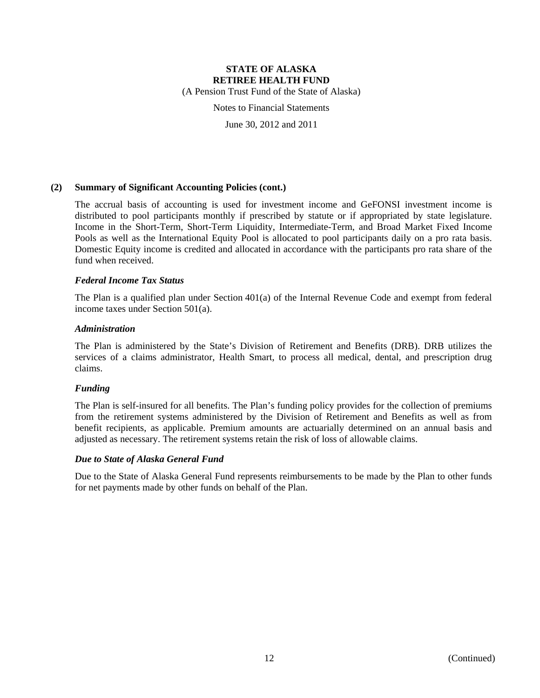(A Pension Trust Fund of the State of Alaska)

Notes to Financial Statements

June 30, 2012 and 2011

#### **(2) Summary of Significant Accounting Policies (cont.)**

The accrual basis of accounting is used for investment income and GeFONSI investment income is distributed to pool participants monthly if prescribed by statute or if appropriated by state legislature. Income in the Short-Term, Short-Term Liquidity, Intermediate-Term, and Broad Market Fixed Income Pools as well as the International Equity Pool is allocated to pool participants daily on a pro rata basis. Domestic Equity income is credited and allocated in accordance with the participants pro rata share of the fund when received.

#### *Federal Income Tax Status*

The Plan is a qualified plan under Section 401(a) of the Internal Revenue Code and exempt from federal income taxes under Section 501(a).

#### *Administration*

The Plan is administered by the State's Division of Retirement and Benefits (DRB). DRB utilizes the services of a claims administrator, Health Smart, to process all medical, dental, and prescription drug claims.

### *Funding*

The Plan is self-insured for all benefits. The Plan's funding policy provides for the collection of premiums from the retirement systems administered by the Division of Retirement and Benefits as well as from benefit recipients, as applicable. Premium amounts are actuarially determined on an annual basis and adjusted as necessary. The retirement systems retain the risk of loss of allowable claims.

### *Due to State of Alaska General Fund*

Due to the State of Alaska General Fund represents reimbursements to be made by the Plan to other funds for net payments made by other funds on behalf of the Plan.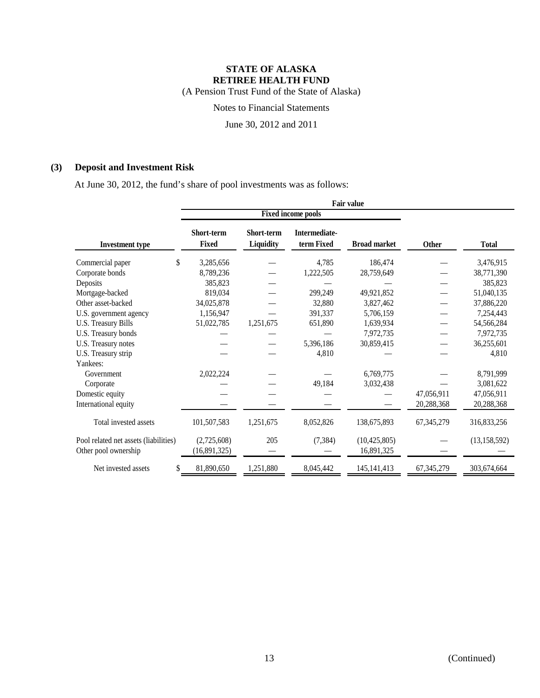(A Pension Trust Fund of the State of Alaska)

Notes to Financial Statements

June 30, 2012 and 2011

## **(3) Deposit and Investment Risk**

At June 30, 2012, the fund's share of pool investments was as follows:

|                                                               |                                   |                         | <b>Fixed income pools</b>   |                              |              |                |
|---------------------------------------------------------------|-----------------------------------|-------------------------|-----------------------------|------------------------------|--------------|----------------|
| <b>Investment type</b>                                        | <b>Short-term</b><br><b>Fixed</b> | Short-term<br>Liquidity | Intermediate-<br>term Fixed | <b>Broad market</b>          | <b>Other</b> | <b>Total</b>   |
| \$<br>Commercial paper                                        | 3,285,656                         |                         | 4,785                       | 186,474                      |              | 3,476,915      |
| Corporate bonds                                               | 8,789,236                         |                         | 1,222,505                   | 28,759,649                   |              | 38,771,390     |
| Deposits                                                      | 385,823                           |                         |                             |                              |              | 385,823        |
| Mortgage-backed                                               | 819,034                           |                         | 299,249                     | 49,921,852                   |              | 51,040,135     |
| Other asset-backed                                            | 34,025,878                        |                         | 32,880                      | 3,827,462                    |              | 37,886,220     |
| U.S. government agency                                        | 1,156,947                         |                         | 391,337                     | 5,706,159                    |              | 7,254,443      |
| <b>U.S. Treasury Bills</b>                                    | 51,022,785                        | 1,251,675               | 651,890                     | 1,639,934                    |              | 54,566,284     |
| U.S. Treasury bonds                                           |                                   |                         |                             | 7,972,735                    |              | 7,972,735      |
| U.S. Treasury notes                                           |                                   |                         | 5,396,186                   | 30,859,415                   |              | 36,255,601     |
| U.S. Treasury strip                                           |                                   |                         | 4,810                       |                              |              | 4,810          |
| Yankees:                                                      |                                   |                         |                             |                              |              |                |
| Government                                                    | 2,022,224                         |                         |                             | 6,769,775                    |              | 8,791,999      |
| Corporate                                                     |                                   |                         | 49,184                      | 3,032,438                    |              | 3,081,622      |
| Domestic equity                                               |                                   |                         |                             |                              | 47,056,911   | 47,056,911     |
| International equity                                          |                                   |                         |                             |                              | 20,288,368   | 20,288,368     |
| Total invested assets                                         | 101,507,583                       | 1,251,675               | 8,052,826                   | 138,675,893                  | 67, 345, 279 | 316,833,256    |
| Pool related net assets (liabilities)<br>Other pool ownership | (2,725,608)<br>(16,891,325)       | 205                     | (7, 384)                    | (10, 425, 805)<br>16,891,325 |              | (13, 158, 592) |
| Net invested assets<br>\$                                     | 81,890,650                        | 1,251,880               | 8,045,442                   | 145, 141, 413                | 67, 345, 279 | 303,674,664    |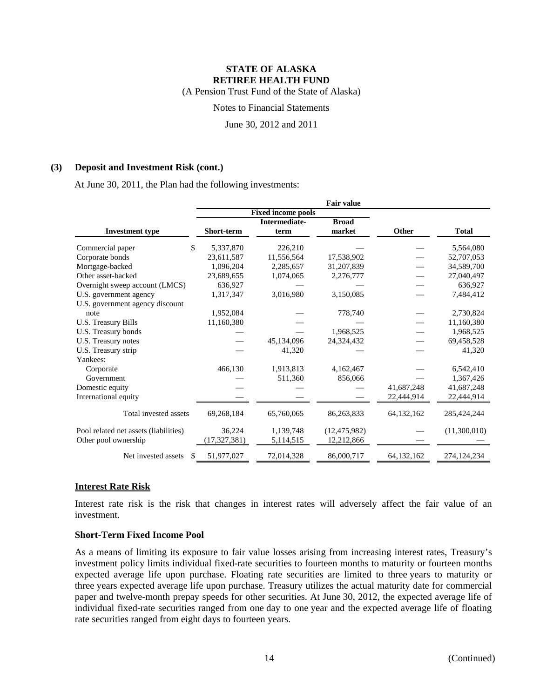(A Pension Trust Fund of the State of Alaska)

Notes to Financial Statements

June 30, 2012 and 2011

#### **(3) Deposit and Investment Risk (cont.)**

At June 30, 2011, the Plan had the following investments:

|                                       |                   |                           | <b>Fair value</b> |              |               |
|---------------------------------------|-------------------|---------------------------|-------------------|--------------|---------------|
|                                       |                   | <b>Fixed income pools</b> |                   |              |               |
|                                       |                   | <b>Intermediate-</b>      | <b>Broad</b>      |              |               |
| <b>Investment type</b>                | <b>Short-term</b> | term                      | market            | Other        | <b>Total</b>  |
| Commercial paper<br>\$                | 5,337,870         | 226,210                   |                   |              | 5,564,080     |
| Corporate bonds                       | 23,611,587        | 11,556,564                | 17,538,902        |              | 52,707,053    |
| Mortgage-backed                       | 1,096,204         | 2,285,657                 | 31,207,839        |              | 34,589,700    |
| Other asset-backed                    | 23,689,655        | 1,074,065                 | 2,276,777         |              | 27,040,497    |
| Overnight sweep account (LMCS)        | 636,927           |                           |                   |              | 636,927       |
| U.S. government agency                | 1,317,347         | 3,016,980                 | 3,150,085         |              | 7,484,412     |
| U.S. government agency discount       |                   |                           |                   |              |               |
| note                                  | 1,952,084         |                           | 778,740           |              | 2,730,824     |
| U.S. Treasury Bills                   | 11,160,380        |                           |                   |              | 11,160,380    |
| U.S. Treasury bonds                   |                   |                           | 1,968,525         |              | 1,968,525     |
| U.S. Treasury notes                   |                   | 45,134,096                | 24,324,432        |              | 69,458,528    |
| U.S. Treasury strip                   |                   | 41,320                    |                   |              | 41,320        |
| Yankees:                              |                   |                           |                   |              |               |
| Corporate                             | 466,130           | 1,913,813                 | 4,162,467         |              | 6,542,410     |
| Government                            |                   | 511,360                   | 856,066           |              | 1,367,426     |
| Domestic equity                       |                   |                           |                   | 41,687,248   | 41,687,248    |
| International equity                  |                   |                           |                   | 22,444,914   | 22,444,914    |
| Total invested assets                 | 69,268,184        | 65,760,065                | 86,263,833        | 64, 132, 162 | 285,424,244   |
| Pool related net assets (liabilities) | 36,224            | 1,139,748                 | (12, 475, 982)    |              | (11,300,010)  |
| Other pool ownership                  | (17, 327, 381)    | 5,114,515                 | 12,212,866        |              |               |
| Net invested assets<br>\$.            | 51,977,027        | 72,014,328                | 86,000,717        | 64,132,162   | 274, 124, 234 |

### **Interest Rate Risk**

Interest rate risk is the risk that changes in interest rates will adversely affect the fair value of an investment.

#### **Short-Term Fixed Income Pool**

As a means of limiting its exposure to fair value losses arising from increasing interest rates, Treasury's investment policy limits individual fixed-rate securities to fourteen months to maturity or fourteen months expected average life upon purchase. Floating rate securities are limited to three years to maturity or three years expected average life upon purchase. Treasury utilizes the actual maturity date for commercial paper and twelve-month prepay speeds for other securities. At June 30, 2012, the expected average life of individual fixed-rate securities ranged from one day to one year and the expected average life of floating rate securities ranged from eight days to fourteen years.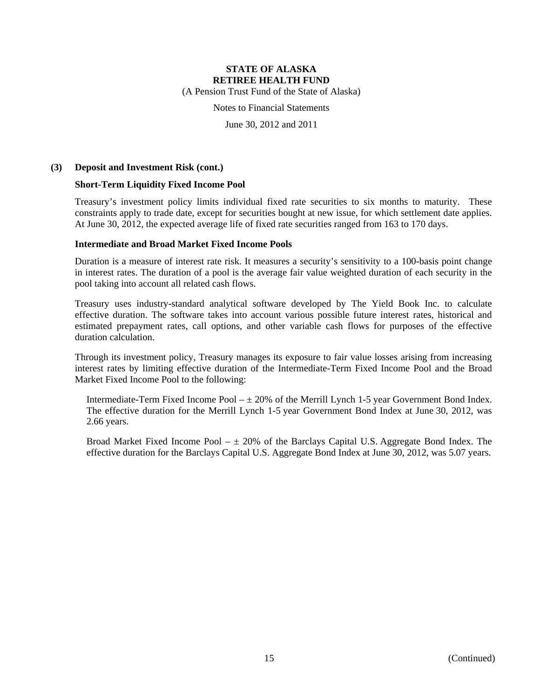(A Pension Trust Fund of the State of Alaska)

Notes to Financial Statements

June 30, 2012 and 2011

#### **(3) Deposit and Investment Risk (cont.)**

#### **Short-Term Liquidity Fixed Income Pool**

Treasury's investment policy limits individual fixed rate securities to six months to maturity. These constraints apply to trade date, except for securities bought at new issue, for which settlement date applies. At June 30, 2012, the expected average life of fixed rate securities ranged from 163 to 170 days.

#### **Intermediate and Broad Market Fixed Income Pools**

Duration is a measure of interest rate risk. It measures a security's sensitivity to a 100-basis point change in interest rates. The duration of a pool is the average fair value weighted duration of each security in the pool taking into account all related cash flows.

Treasury uses industry-standard analytical software developed by The Yield Book Inc. to calculate effective duration. The software takes into account various possible future interest rates, historical and estimated prepayment rates, call options, and other variable cash flows for purposes of the effective duration calculation.

Through its investment policy, Treasury manages its exposure to fair value losses arising from increasing interest rates by limiting effective duration of the Intermediate-Term Fixed Income Pool and the Broad Market Fixed Income Pool to the following:

Intermediate-Term Fixed Income Pool  $- \pm 20\%$  of the Merrill Lynch 1-5 year Government Bond Index. The effective duration for the Merrill Lynch 1-5 year Government Bond Index at June 30, 2012, was 2.66 years.

Broad Market Fixed Income Pool  $-\pm 20\%$  of the Barclays Capital U.S. Aggregate Bond Index. The effective duration for the Barclays Capital U.S. Aggregate Bond Index at June 30, 2012, was 5.07 years.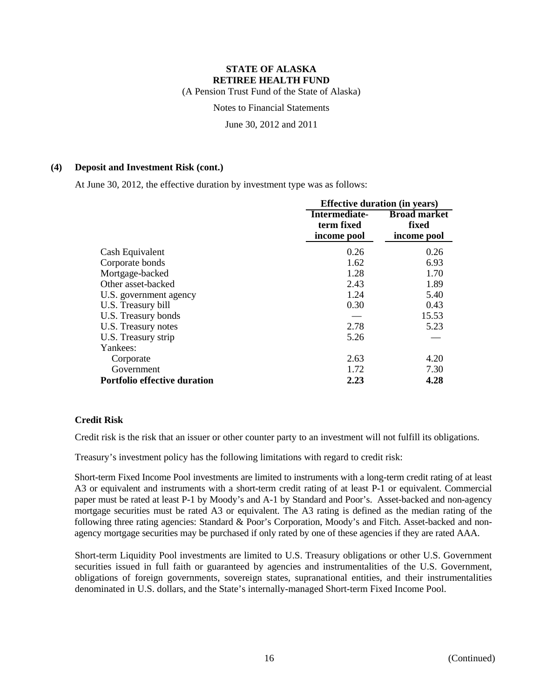(A Pension Trust Fund of the State of Alaska)

Notes to Financial Statements

June 30, 2012 and 2011

#### **(4) Deposit and Investment Risk (cont.)**

At June 30, 2012, the effective duration by investment type was as follows:

|                                     |                                            | <b>Effective duration (in years)</b>        |  |  |
|-------------------------------------|--------------------------------------------|---------------------------------------------|--|--|
|                                     | Intermediate-<br>term fixed<br>income pool | <b>Broad market</b><br>fixed<br>income pool |  |  |
| Cash Equivalent                     | 0.26                                       | 0.26                                        |  |  |
| Corporate bonds                     | 1.62                                       | 6.93                                        |  |  |
| Mortgage-backed                     | 1.28                                       | 1.70                                        |  |  |
| Other asset-backed                  | 2.43                                       | 1.89                                        |  |  |
| U.S. government agency              | 1.24                                       | 5.40                                        |  |  |
| U.S. Treasury bill                  | 0.30                                       | 0.43                                        |  |  |
| U.S. Treasury bonds                 |                                            | 15.53                                       |  |  |
| U.S. Treasury notes                 | 2.78                                       | 5.23                                        |  |  |
| U.S. Treasury strip                 | 5.26                                       |                                             |  |  |
| Yankees:                            |                                            |                                             |  |  |
| Corporate                           | 2.63                                       | 4.20                                        |  |  |
| Government                          | 1.72                                       | 7.30                                        |  |  |
| <b>Portfolio effective duration</b> | 2.23                                       | 4.28                                        |  |  |

### **Credit Risk**

Credit risk is the risk that an issuer or other counter party to an investment will not fulfill its obligations.

Treasury's investment policy has the following limitations with regard to credit risk:

Short-term Fixed Income Pool investments are limited to instruments with a long-term credit rating of at least A3 or equivalent and instruments with a short-term credit rating of at least P-1 or equivalent. Commercial paper must be rated at least P-1 by Moody's and A-1 by Standard and Poor's. Asset-backed and non-agency mortgage securities must be rated A3 or equivalent. The A3 rating is defined as the median rating of the following three rating agencies: Standard & Poor's Corporation, Moody's and Fitch. Asset-backed and nonagency mortgage securities may be purchased if only rated by one of these agencies if they are rated AAA.

Short-term Liquidity Pool investments are limited to U.S. Treasury obligations or other U.S. Government securities issued in full faith or guaranteed by agencies and instrumentalities of the U.S. Government, obligations of foreign governments, sovereign states, supranational entities, and their instrumentalities denominated in U.S. dollars, and the State's internally-managed Short-term Fixed Income Pool.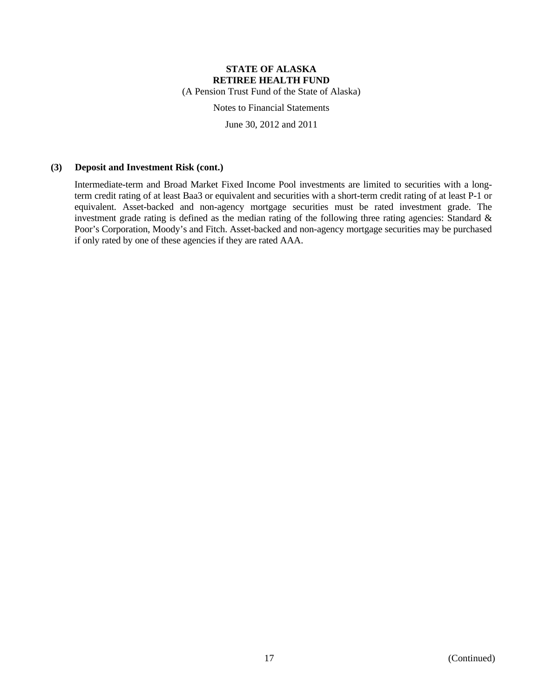(A Pension Trust Fund of the State of Alaska)

Notes to Financial Statements

June 30, 2012 and 2011

#### **(3) Deposit and Investment Risk (cont.)**

Intermediate-term and Broad Market Fixed Income Pool investments are limited to securities with a longterm credit rating of at least Baa3 or equivalent and securities with a short-term credit rating of at least P-1 or equivalent. Asset-backed and non-agency mortgage securities must be rated investment grade. The investment grade rating is defined as the median rating of the following three rating agencies: Standard & Poor's Corporation, Moody's and Fitch. Asset-backed and non-agency mortgage securities may be purchased if only rated by one of these agencies if they are rated AAA.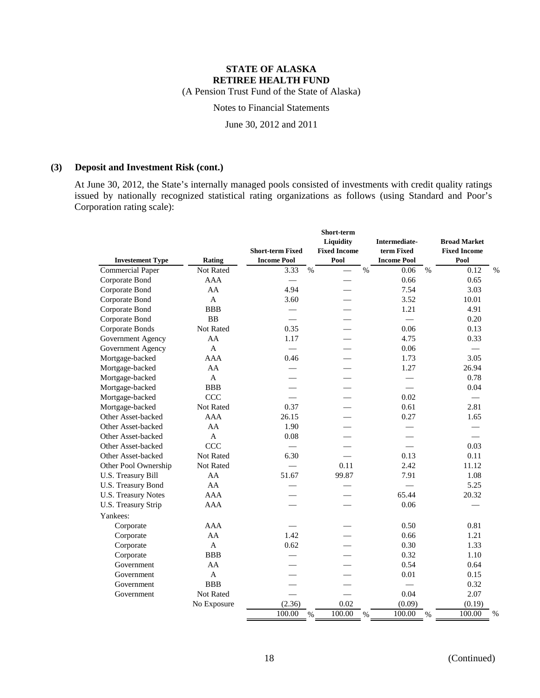(A Pension Trust Fund of the State of Alaska)

## Notes to Financial Statements

June 30, 2012 and 2011

#### **(3) Deposit and Investment Risk (cont.)**

At June 30, 2012, the State's internally managed pools consisted of investments with credit quality ratings issued by nationally recognized statistical rating organizations as follows (using Standard and Poor's Corporation rating scale):

| <b>Investement Type</b>    | Rating           | <b>Short-term Fixed</b><br><b>Income Pool</b> |      | Short-term<br>Liquidity<br><b>Fixed Income</b><br>Pool |      | Intermediate-<br>term Fixed<br><b>Income Pool</b> |      | <b>Broad Market</b><br><b>Fixed Income</b><br>Pool |      |
|----------------------------|------------------|-----------------------------------------------|------|--------------------------------------------------------|------|---------------------------------------------------|------|----------------------------------------------------|------|
| Commercial Paper           | Not Rated        | 3.33                                          | $\%$ | $\overline{\phantom{0}}$                               | $\%$ | 0.06                                              | $\%$ | 0.12                                               | $\%$ |
| Corporate Bond             | <b>AAA</b>       | $\overline{\phantom{m}}$                      |      |                                                        |      | 0.66                                              |      | 0.65                                               |      |
| Corporate Bond             | AA               | 4.94                                          |      |                                                        |      | 7.54                                              |      | 3.03                                               |      |
| Corporate Bond             | $\mathbf{A}$     | 3.60                                          |      |                                                        |      | 3.52                                              |      | 10.01                                              |      |
| Corporate Bond             | <b>BBB</b>       |                                               |      |                                                        |      | 1.21                                              |      | 4.91                                               |      |
| Corporate Bond             | <b>BB</b>        |                                               |      |                                                        |      |                                                   |      | 0.20                                               |      |
| Corporate Bonds            | <b>Not Rated</b> | 0.35                                          |      |                                                        |      | 0.06                                              |      | 0.13                                               |      |
| Government Agency          | AA               | 1.17                                          |      |                                                        |      | 4.75                                              |      | 0.33                                               |      |
| Government Agency          | $\mathbf{A}$     |                                               |      |                                                        |      | 0.06                                              |      |                                                    |      |
| Mortgage-backed            | <b>AAA</b>       | 0.46                                          |      |                                                        |      | 1.73                                              |      | 3.05                                               |      |
| Mortgage-backed            | AA               |                                               |      |                                                        |      | 1.27                                              |      | 26.94                                              |      |
| Mortgage-backed            | $\mathbf{A}$     |                                               |      |                                                        |      | $\qquad \qquad$                                   |      | 0.78                                               |      |
| Mortgage-backed            | <b>BBB</b>       |                                               |      |                                                        |      | $\frac{1}{2}$                                     |      | 0.04                                               |      |
| Mortgage-backed            | <b>CCC</b>       |                                               |      |                                                        |      | 0.02                                              |      | $\frac{1}{2}$                                      |      |
| Mortgage-backed            | Not Rated        | 0.37                                          |      |                                                        |      | 0.61                                              |      | 2.81                                               |      |
| Other Asset-backed         | <b>AAA</b>       | 26.15                                         |      |                                                        |      | 0.27                                              |      | 1.65                                               |      |
| Other Asset-backed         | AA               | 1.90                                          |      |                                                        |      |                                                   |      |                                                    |      |
| Other Asset-backed         | $\mathbf{A}$     | 0.08                                          |      |                                                        |      |                                                   |      |                                                    |      |
| Other Asset-backed         | <b>CCC</b>       |                                               |      |                                                        |      |                                                   |      | 0.03                                               |      |
| Other Asset-backed         | Not Rated        | 6.30                                          |      |                                                        |      | 0.13                                              |      | 0.11                                               |      |
| Other Pool Ownership       | Not Rated        |                                               |      | 0.11                                                   |      | 2.42                                              |      | 11.12                                              |      |
| U.S. Treasury Bill         | AA               | 51.67                                         |      | 99.87                                                  |      | 7.91                                              |      | 1.08                                               |      |
| U.S. Treasury Bond         | AA               |                                               |      |                                                        |      |                                                   |      | 5.25                                               |      |
| <b>U.S. Treasury Notes</b> | <b>AAA</b>       |                                               |      |                                                        |      | 65.44                                             |      | 20.32                                              |      |
| U.S. Treasury Strip        | <b>AAA</b>       |                                               |      |                                                        |      | 0.06                                              |      |                                                    |      |
| Yankees:                   |                  |                                               |      |                                                        |      |                                                   |      |                                                    |      |
| Corporate                  | <b>AAA</b>       |                                               |      |                                                        |      | 0.50                                              |      | 0.81                                               |      |
| Corporate                  | AA               | 1.42                                          |      |                                                        |      | 0.66                                              |      | 1.21                                               |      |
| Corporate                  | $\mathbf{A}$     | 0.62                                          |      |                                                        |      | 0.30                                              |      | 1.33                                               |      |
| Corporate                  | <b>BBB</b>       |                                               |      |                                                        |      | 0.32                                              |      | 1.10                                               |      |
| Government                 | AA               |                                               |      |                                                        |      | 0.54                                              |      | 0.64                                               |      |
| Government                 | $\mathbf{A}$     |                                               |      |                                                        |      | 0.01                                              |      | 0.15                                               |      |
| Government                 | <b>BBB</b>       |                                               |      |                                                        |      |                                                   |      | 0.32                                               |      |
| Government                 | <b>Not Rated</b> |                                               |      |                                                        |      | 0.04                                              |      | 2.07                                               |      |
|                            | No Exposure      | (2.36)                                        |      | 0.02                                                   |      | (0.09)                                            |      | (0.19)                                             |      |
|                            |                  | 100.00                                        | $\%$ | 100.00                                                 | $\%$ | 100.00                                            | $\%$ | 100.00                                             | $\%$ |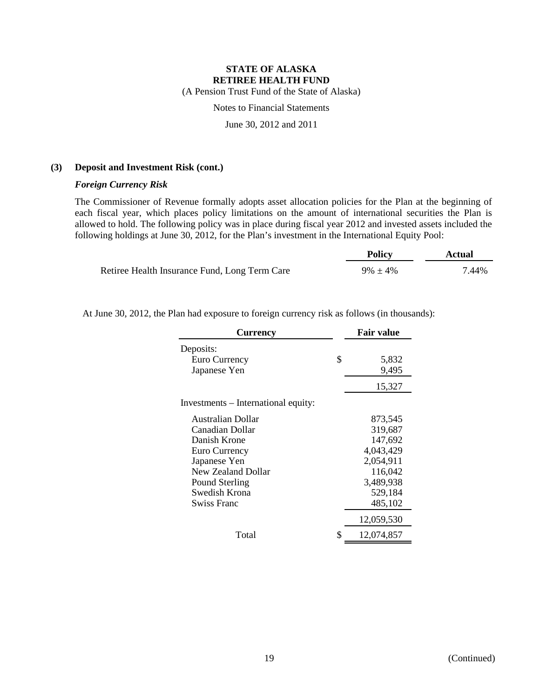(A Pension Trust Fund of the State of Alaska)

Notes to Financial Statements

June 30, 2012 and 2011

#### **(3) Deposit and Investment Risk (cont.)**

#### *Foreign Currency Risk*

The Commissioner of Revenue formally adopts asset allocation policies for the Plan at the beginning of each fiscal year, which places policy limitations on the amount of international securities the Plan is allowed to hold. The following policy was in place during fiscal year 2012 and invested assets included the following holdings at June 30, 2012, for the Plan's investment in the International Equity Pool:

|                                               | <b>Policy</b> | Actual |
|-----------------------------------------------|---------------|--------|
| Retiree Health Insurance Fund, Long Term Care | $9\% \pm 4\%$ | 7.44%  |

At June 30, 2012, the Plan had exposure to foreign currency risk as follows (in thousands):

| <b>Currency</b>                     |    | <b>Fair value</b> |  |  |
|-------------------------------------|----|-------------------|--|--|
| Deposits:                           |    |                   |  |  |
| Euro Currency                       | \$ | 5,832             |  |  |
| Japanese Yen                        |    | 9,495             |  |  |
|                                     |    | 15,327            |  |  |
| Investments - International equity: |    |                   |  |  |
| Australian Dollar                   |    | 873,545           |  |  |
| Canadian Dollar                     |    | 319,687           |  |  |
| Danish Krone                        |    | 147,692           |  |  |
| Euro Currency                       |    | 4,043,429         |  |  |
| Japanese Yen                        |    | 2,054,911         |  |  |
| New Zealand Dollar                  |    | 116,042           |  |  |
| Pound Sterling                      |    | 3,489,938         |  |  |
| Swedish Krona                       |    | 529,184           |  |  |
| <b>Swiss Franc</b>                  |    | 485,102           |  |  |
|                                     |    | 12,059,530        |  |  |
| Total                               | S  | 12,074,857        |  |  |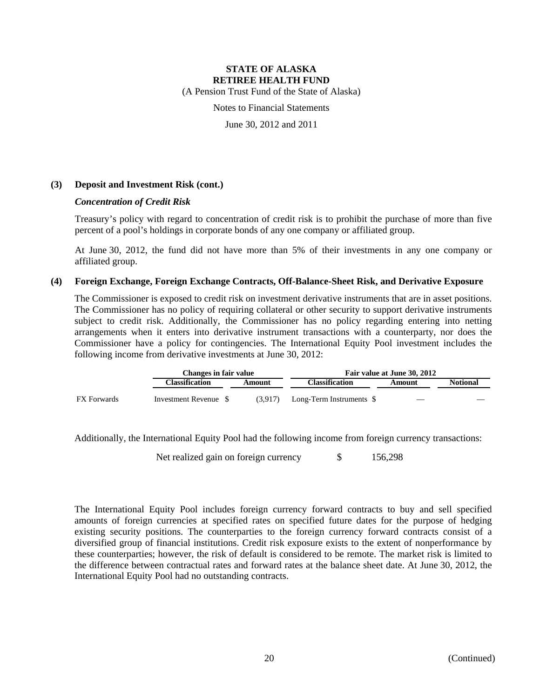(A Pension Trust Fund of the State of Alaska)

Notes to Financial Statements

June 30, 2012 and 2011

### **(3) Deposit and Investment Risk (cont.)**

#### *Concentration of Credit Risk*

Treasury's policy with regard to concentration of credit risk is to prohibit the purchase of more than five percent of a pool's holdings in corporate bonds of any one company or affiliated group.

At June 30, 2012, the fund did not have more than 5% of their investments in any one company or affiliated group.

#### **(4) Foreign Exchange, Foreign Exchange Contracts, Off-Balance-Sheet Risk, and Derivative Exposure**

The Commissioner is exposed to credit risk on investment derivative instruments that are in asset positions. The Commissioner has no policy of requiring collateral or other security to support derivative instruments subject to credit risk. Additionally, the Commissioner has no policy regarding entering into netting arrangements when it enters into derivative instrument transactions with a counterparty, nor does the Commissioner have a policy for contingencies. The International Equity Pool investment includes the following income from derivative investments at June 30, 2012:

|                    | Changes in fair value |         | Fair value at June 30, 2012 |                          |                 |  |  |
|--------------------|-----------------------|---------|-----------------------------|--------------------------|-----------------|--|--|
|                    | Classification        | Amount  | <b>Classification</b>       | Amount                   | <b>Notional</b> |  |  |
| <b>FX</b> Forwards | Investment Revenue \$ | (3.917) | Long-Term Instruments \$    | $\overline{\phantom{a}}$ |                 |  |  |

Additionally, the International Equity Pool had the following income from foreign currency transactions:

Net realized gain on foreign currency  $$ 156,298$ 

The International Equity Pool includes foreign currency forward contracts to buy and sell specified amounts of foreign currencies at specified rates on specified future dates for the purpose of hedging existing security positions. The counterparties to the foreign currency forward contracts consist of a diversified group of financial institutions. Credit risk exposure exists to the extent of nonperformance by these counterparties; however, the risk of default is considered to be remote. The market risk is limited to the difference between contractual rates and forward rates at the balance sheet date. At June 30, 2012, the International Equity Pool had no outstanding contracts.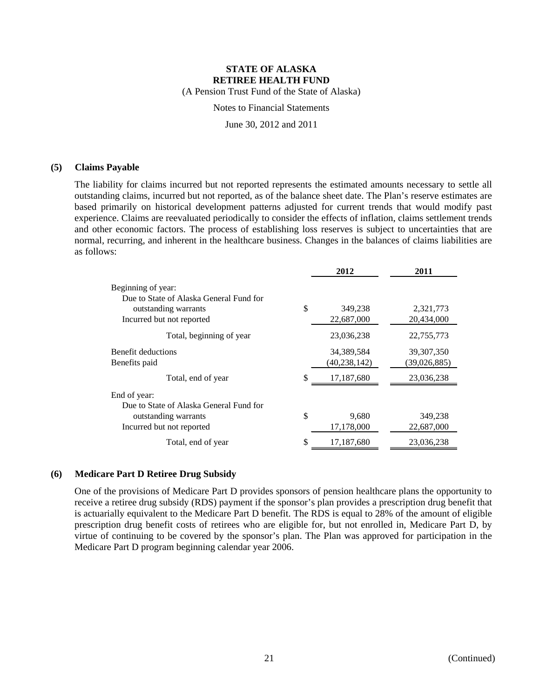(A Pension Trust Fund of the State of Alaska)

Notes to Financial Statements

June 30, 2012 and 2011

#### **(5) Claims Payable**

The liability for claims incurred but not reported represents the estimated amounts necessary to settle all outstanding claims, incurred but not reported, as of the balance sheet date. The Plan's reserve estimates are based primarily on historical development patterns adjusted for current trends that would modify past experience. Claims are reevaluated periodically to consider the effects of inflation, claims settlement trends and other economic factors. The process of establishing loss reserves is subject to uncertainties that are normal, recurring, and inherent in the healthcare business. Changes in the balances of claims liabilities are as follows:

|                                                                                              | 2012                         | 2011                         |
|----------------------------------------------------------------------------------------------|------------------------------|------------------------------|
| Beginning of year:<br>Due to State of Alaska General Fund for                                |                              |                              |
| outstanding warrants<br>Incurred but not reported                                            | \$<br>349,238<br>22,687,000  | 2,321,773<br>20.434,000      |
| Total, beginning of year                                                                     | 23,036,238                   | 22,755,773                   |
| Benefit deductions<br>Benefits paid                                                          | 34,389,584<br>(40, 238, 142) | 39, 307, 350<br>(39,026,885) |
| Total, end of year                                                                           | \$<br>17,187,680             | 23,036,238                   |
| End of year:                                                                                 |                              |                              |
| Due to State of Alaska General Fund for<br>outstanding warrants<br>Incurred but not reported | \$<br>9,680<br>17,178,000    | 349,238<br>22,687,000        |
| Total, end of year                                                                           | \$<br>17,187,680             | 23,036,238                   |

#### **(6) Medicare Part D Retiree Drug Subsidy**

One of the provisions of Medicare Part D provides sponsors of pension healthcare plans the opportunity to receive a retiree drug subsidy (RDS) payment if the sponsor's plan provides a prescription drug benefit that is actuarially equivalent to the Medicare Part D benefit. The RDS is equal to 28% of the amount of eligible prescription drug benefit costs of retirees who are eligible for, but not enrolled in, Medicare Part D, by virtue of continuing to be covered by the sponsor's plan. The Plan was approved for participation in the Medicare Part D program beginning calendar year 2006.